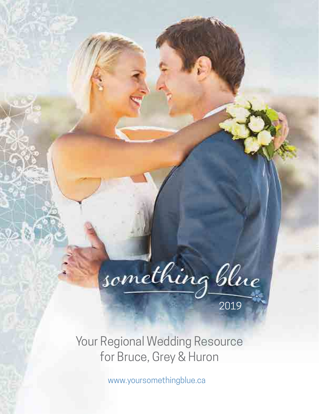

Your Regional Wedding Resource for Bruce, Grey & Huron

www.yoursomethingblue.ca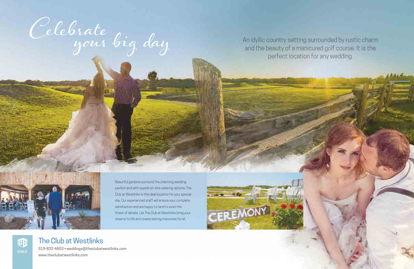Celebrate your big day An idyllic country setting surrounded by rustic charm<br>and the beauty of a manicured golf course. It is the<br>perfect location for any wedding.

and the beauty of a manicured golf course. It is the perfect location for any wedding.



Beautiful gardens surround the charming wedding pavilion and with superb on-site catering options, The Club at Westlinks is the ideal location for your special day. Our experienced staff will ensure your complete satisfaction and are happy to tend to even the finest of details. Let The Club at Westlinks bring your dreams to life and create lasting memories for all.



#### The Club at Westlinks

519-832-4653 • weddings@theclubatwestlinks.com www.theclubatwestlinks.com

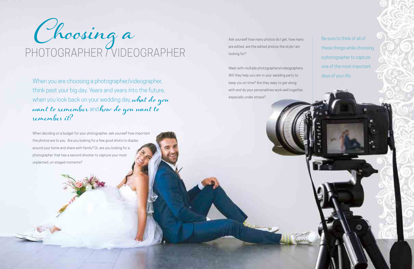When deciding on a budget for your photographer, ask yourself how important the photos are to you. Are you looking for a few good shots to display around your home and share with family? Or, are you looking for a photographer that has a second shooter to capture your most unplanned, un-staged moments?

Be sure to think of all of these things while choosing a photographer to capture one of the most important days of your life.



When you are choosing a photographer/videographer, think past your big day. Years and years into the future, when you look back on your wedding day, what do you<br>want to remember and how do you want to<br>remember it? are edited, are the edited photos the style I am looking for?

Meet with multiple photographers/videographers. Will they help you rein in your wedding party to keep you on time? Are they easy to get along with and do your personalities work well together, especially under stress?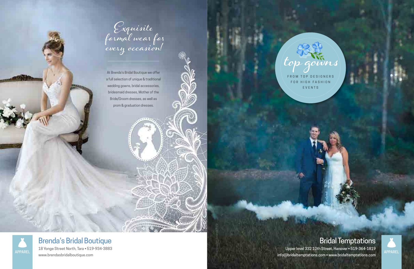

At Brenda's Bridal Boutique we offer a full selection of unique & traditional wedding gowns, bridal accessories, bridesmaid dresses, Mother of the Bride/Groom dresses, as well as prom & graduation dresses.

FROM TOP DESIGNERS

FOR HIGH FASHION EVENTS

*Photographer: Amanda Beitz*

owns

## Bridal Temptations

Upper level 332 10th Street, Hanover • 519-364-1819 info@bridaltemptations.com • www.bridaltemptations.com



## Brenda's Bridal Boutique

18 Yonge Street North, Tara • 519-934-3883 www.brendasbridalboutique.com

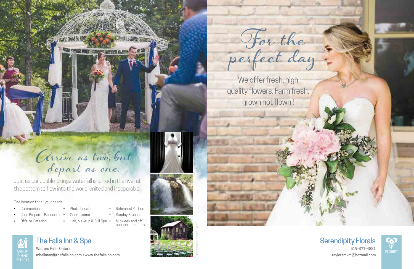Just as our double-plunge waterfall is joined in the river at the bottom to flow into the world, united and inseparable.

双国国

**EXAMINATION** 

# Arrive as two, but depart as one.

One location for all your needs:

- **Ceremonies**
- Chef Prepared Banquets •
- Offsite Catering
- Photo Location Guestrooms
- Hair, Makeup & Full Spa
	-
- Rehearsal Parties

**VALUE NEWS** 

**TIBORE AR** 

## **DINING** RETREAT

- Sunday Brunch
- Midweek and off season discounts







## The Falls Inn & Spa

Walters Falls, Ontario mhallman@thefallsinn.com • www.thefallsinn.com VENUE FLORIST

### Serendipity Florals

519-371-4881 taylorsmkm@hotmail.com

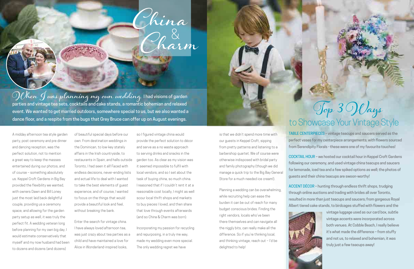A midday afternoon tea style garden party, post ceremony and pre dinner and dancing reception, was the perfect solution, not to mention a great way to keep the masses entertained during our photos, and of course – something absolutely us. Keppel Croft Gardens in Big Bay provided the flexibility we wanted, with owners Dawn and Bill Loney just the most laid back delightful couple, providing us a ceremony space, and allowing for the garden party setup as well, it was truly the perfect fit. A wedding veteran long before planning for my own big day, I would estimate conservatively that myself and my now husband had been to dozens and dozens (and dozens)

of beautiful special days before our own. From destination weddings in the Dominican, to low-key stately affairs in the Irish countryside, to restaurants in Spain, and halls outside Toronto, I had seen it all! Faced with endless decisions, never-ending lists and actual life to deal with I wanted to take the best elements of guest experience, and of course, I wanted to focus on the things that would provide a beautiful look and feel, without breaking the bank.

Enter the search for vintage china. I have always loved afternoon tea, was just crazy about tea parties as a child and have maintained a love for Alice in Wonderland-inspired looks,

so I figured vintage china would provide the perfect solution to décor and serve as a no waste approach to serving drinks and snacks in the garden too. As clear as my vision was it seemed impossible to fulfil with local vendors, and so I set about the task of buying china, so much china. I reasoned that if I couldn't rent it at a reasonable cost locally, I might as well scour local thrift shops and markets to buy pieces I loved, and then share that love through events afterwards (and so China & Charm was born).

China<br>Do &

Incorporating my passion for recycling and repurposing, in a truly me way, made my wedding even more special. The only wedding regret we have

# Top 3 Ways to Showcase Your Vintage Style

is that we didn't spend more time with our guests in Keppel Croft, sipping from pretty patterns and listening to a barbershop quartet. We of course were otherwise indisposed with bridal party and family photography (though we did manage a quick trip to the Big Bay General Store for a much needed ice cream!).

Planning a wedding can be overwhelming, while recruiting help can ease the burden it can be out of reach for many budget conscious brides. Finding the right vendors, locals who've been there themselves and can navigate all the niggly bits, can really make all the difference. So if you're thinking local, and thinking vintage, reach out – I'd be delighted to help!

TABLE CENTERPIECES – vintage teacups and saucers served as the perfect vases for my centerpiece arrangements; with flowers sourced from Serendipity Florals - these were one of my favourite touches!

COCKTAIL HOUR – we hosted our cocktail hour in Keppel Croft Gardens following our ceremony, and used vintage china teacups and saucers for lemonade, iced tea and a few spiked options as well; the photos of guests and their china teacups are swoon-worthy!

ACCENT DÉCOR – hunting through endless thrift shops, trudging through online auctions and trading with brides all over Toronto, resulted in more than just teacups and saucers; from gorgeous Royal Albert tiered cake stands, to birdcages stuffed with flowers and the



vintage luggage used as our card box, subtle vintage accents were incorporated across both venues. At Cobble Beach, I really believe it's what made the difference – from stuffy and not us, to relaxed and bohemian, it was truly just a few teacups away!



Charm&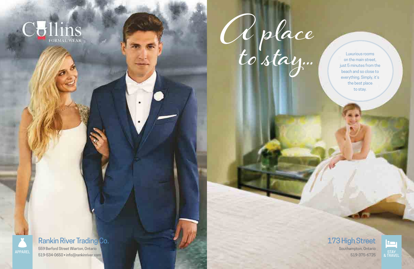



on the main street, just 5 minutes from the beach and so close to everything. Simply, it's the best place to stay.



### 173 High Street

Southampton, Ontario 519-375-6725

#### Rankin River Trading Co.

559 Berford Street Wiarton, Ontario 519-534-0650 • info@rankinriver.com

APPAREL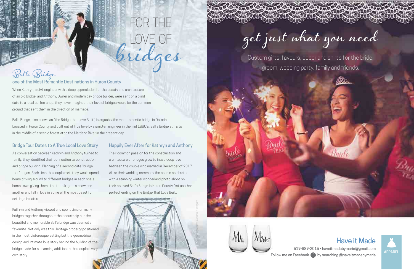When Kathryn, a civil engineer with a deep appreciation for the beauty and architecture of an old bridge, and Anthony, Owner and modern day bridge builder, were sent on a blind date to a local coffee shop, they never imagined their love of bridges would be the common ground that sent them in the direction of marriage.

Balls Bridge, also known as "the Bridge that Love Built", is arguably the most romantic bridge in Ontario. Located in Huron County and built out of true love by a smitten engineer in the mid 1880's, Ball's Bridge still sits in the middle of a scenic forest atop the Maitland River in the present day.

#### Bridge Tour Dates to A True Local Love Story Happily Ever After for Kathryn and Anthony

Their common passion for the construction and architecture of bridges grew to into a deep love between the couple who married in December of 2017. After their wedding ceremony the couple celebrated with a stunning winter wonderland photo shoot on their beloved Ball's Bridge in Huron County. Yet another perfect ending on The Bridge That Love Built.

# FOR THE Balls Bridges

• 519-889-2015 • haveitmadebymarie@gmail.com Follow me on Facebook (f) by searching @haveitmadebymarie

Custom gifts, favours, decor and shirts for the bride, groom, wedding party, family and friends.



As conversation between Kathryn and Anthony turned to family, they identified their connection to construction and bridge building. Planning of a second date "bridge tour" began. Each time the couple met, they would spend hours driving around to different bridges in each one's home town giving them time to talk, get to know one another and fall in love in some of the most beautiful settings in nature.

Kathryn and Anthony viewed and spent time on many bridges together throughout their courtship but the beautiful and memorable Ball's bridge was deemed a favourite. Not only was this Heritage property positioned in the most picturesque setting but the geometrical design and intimate love story behind the building of the bridge made for a charming addition to the couple's very own story.



#### one of the Most Romantic Destinations in Huron County

#### Have it Made



AS COOLAN COOLAN COOL

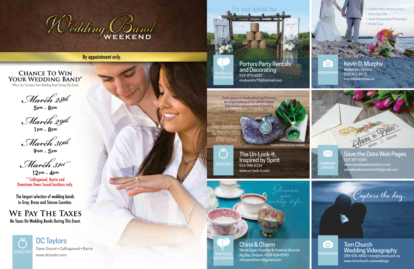

By appointment only.

#### **CHANCE TO WIN** YOUR WEDDING BAND\*

\*When You Purchase Your Wedding Band During This Event.

March 28th

 $5$ pm -  $8$ pm

March 29th<br>Jpm - 8pm

March 30th

9am <sub>- 5pm</sub>

March 31st \*\*

 $12^{pm} - 4^{pm}$ \*\* Collingwood, Barrie and Downtown Owen Sound locations only.

The largest selection of wedding bands in Grey, Bruce and Simcoe Counties.

**WE PAY THE TAXES** No Taxes On Wedding Bands During This Event.

#### Save the Date Web Pages 519-357-6355 www.canadawebsolutions.com

canadawebsolutions16@gmail.com



#### Kevin D. Murphy

Walkerton, Ontario 519-901-2972 kdmediaservices.ca

- Custom Made Wedding Films
- Same Day Edits
- Aerial Videography/Photography
- Virtual Tours



#### Porters Party Rentals and Decorating RENTALS & COLORAING STREET STREET AND RENTALS & VIDEOGRAPHER cindysmits73@hotmail.com

The Un-Lock-It, Inspired by Spirit 519-955-6134 www.un-lock-it.com

ustom pieces are also availabl

Each piece is handcrafted and frames an original piece of art which makes this a truly unique piece of jewelry.

RENTALS & **DECORATIN** 

Re-awaken & motivate the soul

> China & Charm Nicole Egan, Founder & Creative Director Big Bay, Ontario • 519-534-5750 chinaandcharm@gmail.com

Showcase

your vintage style...

#### Tom Church Wedding Videography 289-925-4842 • tom@tomchurch.ca

www.tomchurch.ca/weddings

DC Taylors Owen Sound • Collingwood • Barrie

www.dctaylor.com



For your special day.

**ECORATIN** 







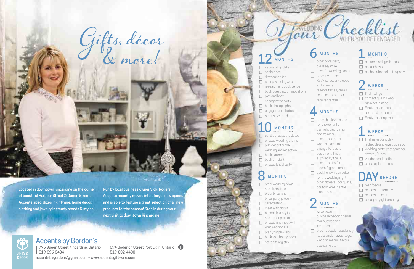- $\Box$  order bridal party dresses/attire  $\Box$  shop for wedding bands  $\Box$  order invitations, RSVP cards, envelopes and stamps
- $\Box$  reserve tables, chairs, tents and any other required rentals

#### **MONTHS**

 $\Box$  order thank you cards for shower gifts  $\Box$  plan rehearsal dinner  $\Box$  finalize menu  $\Box$  choose and order wedding favours  $\Box$  arrange for sound equipment if not supplied by the DJ  $\Box$  choose attire for groom & groomsmen  $\Box$  book honeymoon suite for the wedding night  $\Box$  order flowers - bouquets, boutonnières, centre pieces etc

#### **MONTHS**

|  | MONTHS |  |
|--|--------|--|
|  |        |  |
|  |        |  |

- $\Box$  write vows
- $\Box$  purchase wedding bands  $\Box$  mail out wedding invitations
- $\Box$  order reception stationery (table cards, favour tags, wedding menus, favour packaging etc)

#### **MONTHS**

- $\Box$  secure marriage license
- $\Box$  bridal shower
- $\Box$  bachelor/bachelorette party

#### **WEEKS**

- $\Box$  final fittings  $\Box$  contact guests who have not RSVP'd  $\Box$  Finalize head count and send to caterer
- $\Box$  Finalize seating chart

#### WEEKS

- $\Box$  finalize wedding day schedule and give copies to  $\Box$  wedding party, photographer, caterer, DJ etc.  $\Box$  vendor confirmations
- $\Box$  prepare place cards

## **V** BEFORE

- $\Box$  mani/pedi's
- $\Box$  rehearsal ceremony
- $\Box$  rehearsal dinner
- $\Box$  bridal party gift exchange

594 Goderich Street Port Elgin, Ontario 519-396-3434 519-832-4438 accentsbygordons@gmail.com • www.accentsgiftware.com

## **MONTHS**

- $\Box$  set wedding date
- $\Box$  set budget
- $\Box$  draft guest list
- $\Box$  set up wedding website
- $\Box$  research and book venue
- $\Box$  book guest accommodations
- $\Box$  plan and host
- engagement party
- $\Box$  book photographer
- $\Box$  engagement photos
- $\Box$  order save the dates

## **MONTHS**

- $\Box$  send out save the dates  $\Box$  choose wedding theme
- $\Box$  plan decor for the wedding and reception
- $\Box$  book caterer
- $\Box$  book officiant
- $\Box$  choose bridal party

## **MONTHS**

- $\Box$  order wedding gown and alterations  $\Box$  order bridal and bridal party jewelry  $\Box$  cake tasting  $\Box$  meet with florist  $\Box$  choose hair stylist
- and makeup artist  $\Box$  choose and meet with
- your wedding DJ
- $\Box$  prep your play lists
- $\Box$  book your honeymoon
- $\Box$  start gift registry





Run by local business owner Vicki Rogers, Accents recently moved into a larger new space, and is able to feature a great selection of all new products for the season! Stop in during your next visit to downtown Kincardine!

Gifts, décor & more!



## **Accents by Gordon's**<br>1 775 Queen Street Kincardine, Ontario